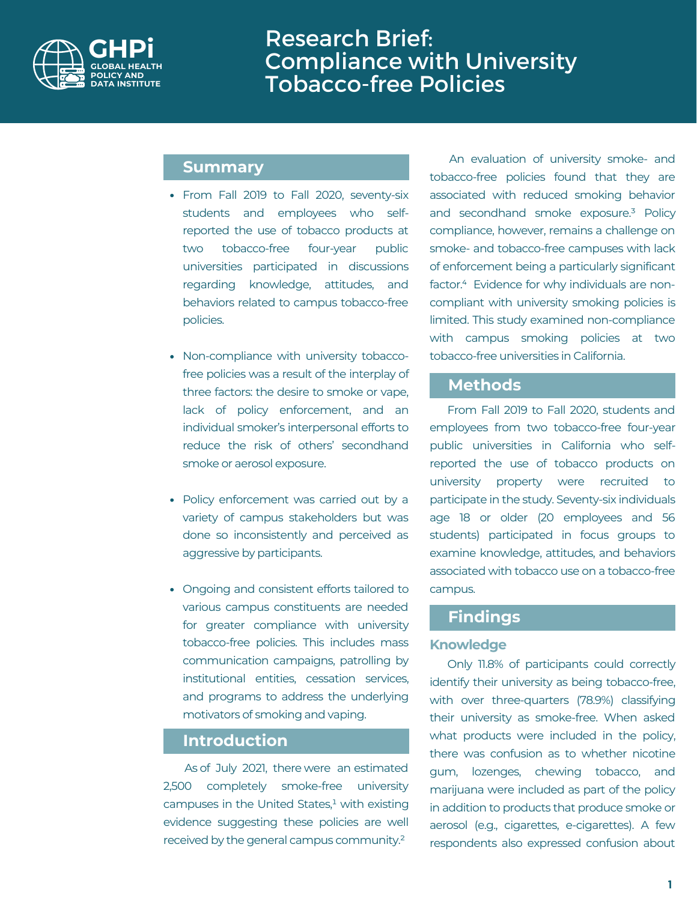

# Research Brief: Compliance with University Tobacco-free Policies

## **Summary**

- From Fall 2019 to Fall 2020, seventy-six students and employees who selfreported the use of tobacco products at two tobacco-free four-year public universities participated in discussions regarding knowledge, attitudes, and behaviors related to campus tobacco-free policies.
- Non-compliance with university tobaccofree policies was a result of the interplay of three factors: the desire to smoke or vape, lack of policy enforcement, and an individual smoker's interpersonal efforts to reduce the risk of others' secondhand smoke or aerosol exposure.
- Policy enforcement was carried out by a variety of campus stakeholders but was done so inconsistently and perceived as aggressive by participants.
- Ongoing and consistent efforts tailored to various campus constituents are needed for greater compliance with university tobacco-free policies. This includes mass communication campaigns, patrolling by institutional entities, cessation services, and programs to address the underlying motivators of smoking and vaping.

### **Introduction**

As of July 2021, there were an estimated 2,500 completely smoke-free university campuses in the United States, $<sup>1</sup>$  with existing</sup> evidence suggesting these policies are well received by the general campus community.²

An evaluation of university smoke- and tobacco-free policies found that they are associated with reduced smoking behavior and secondhand smoke exposure.<sup>3</sup> Policy compliance, however, remains a challenge on smoke- and tobacco-free campuses with lack of enforcement being a particularly significant factor.<sup>4</sup> Evidence for why individuals are noncompliant with university smoking policies is limited. This study examined non-compliance with campus smoking policies at two tobacco-free universities in California.

### **Methods**

From Fall 2019 to Fall 2020, students and employees from two tobacco-free four-year public universities in California who selfreported the use of tobacco products on university property were recruited to participate in the study. Seventy-six individuals age 18 or older (20 employees and 56 students) participated in focus groups to examine knowledge, attitudes, and behaviors associated with tobacco use on a tobacco-free campus.

# **Findings**

#### **Knowledge**

Only 11.8% of participants could correctly identify their university as being tobacco-free, with over three-quarters (78.9%) classifying their university as smoke-free. When asked what products were included in the policy. there was confusion as to whether nicotine gum, lozenges, chewing tobacco, and marijuana were included as part of the policy in addition to products that produce smoke or aerosol (e.g., cigarettes, e-cigarettes). A few respondents also expressed confusion about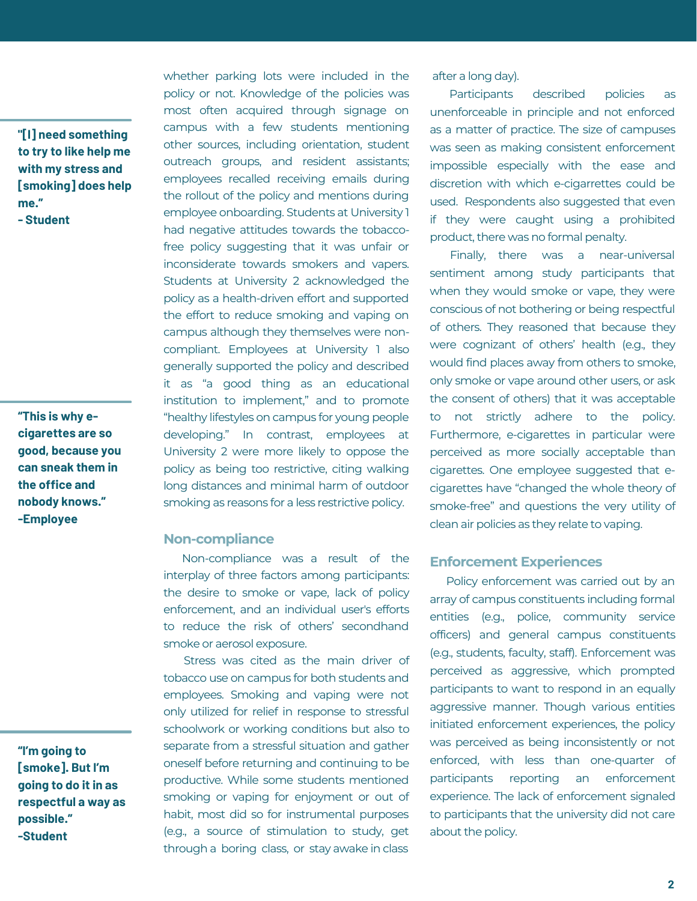**"[I] need something to try to like help me with my stress and [smoking] does help me." - Student**

**"This is why ecigarettes are so good, because you can sneak them in the office and nobody knows." -Employee**

**"I'm going to [smoke]. But I'm going to do it in as respectful a way as possible." -Student**

whether parking lots were included in the policy or not. Knowledge of the policies was most often acquired through signage on campus with a few students mentioning other sources, including orientation, student outreach groups, and resident assistants; employees recalled receiving emails during the rollout of the policy and mentions during employee onboarding. Students at University 1 had negative attitudes towards the tobaccofree policy suggesting that it was unfair or inconsiderate towards smokers and vapers. Students at University 2 acknowledged the policy as a health-driven effort and supported the effort to reduce smoking and vaping on campus although they themselves were noncompliant. Employees at University 1 also generally supported the policy and described it as "a good thing as an educational institution to implement," and to promote "healthy lifestyles on campus for young people developing." In contrast, employees at University 2 were more likely to oppose the policy as being too restrictive, citing walking long distances and minimal harm of outdoor smoking as reasons for a less restrictive policy.

#### **Non-compliance**

Non-compliance was a result of the interplay of three factors among participants: the desire to smoke or vape, lack of policy enforcement, and an individual user's efforts to reduce the risk of others' secondhand smoke or aerosol exposure.

Stress was cited as the main driver of tobacco use on campus for both students and employees. Smoking and vaping were not only utilized for relief in response to stressful schoolwork or working conditions but also to separate from a stressful situation and gather oneself before returning and continuing to be productive. While some students mentioned smoking or vaping for enjoyment or out of habit, most did so for instrumental purposes (e.g., a source of stimulation to study, get through a boring class, or stay awake in class

after a long day).

Participants described policies as unenforceable in principle and not enforced as a matter of practice. The size of campuses was seen as making consistent enforcement impossible especially with the ease and discretion with which e-cigarrettes could be used. Respondents also suggested that even if they were caught using a prohibited product, there was no formal penalty.

Finally, there was a near-universal sentiment among study participants that when they would smoke or vape, they were conscious of not bothering or being respectful of others. They reasoned that because they were cognizant of others' health (e.g., they would find places away from others to smoke, only smoke or vape around other users, or ask the consent of others) that it was acceptable to not strictly adhere to the policy. Furthermore, e-cigarettes in particular were perceived as more socially acceptable than cigarettes. One employee suggested that ecigarettes have "changed the whole theory of smoke-free" and questions the very utility of clean air policies as they relate to vaping.

#### **Enforcement Experiences**

Policy enforcement was carried out by an array of campus constituents including formal entities (e.g., police, community service officers) and general campus constituents (e.g., students, faculty, staff). Enforcement was perceived as aggressive, which prompted participants to want to respond in an equally aggressive manner. Though various entities initiated enforcement experiences, the policy was perceived as being inconsistently or not enforced, with less than one-quarter of participants reporting an enforcement experience. The lack of enforcement signaled to participants that the university did not care about the policy.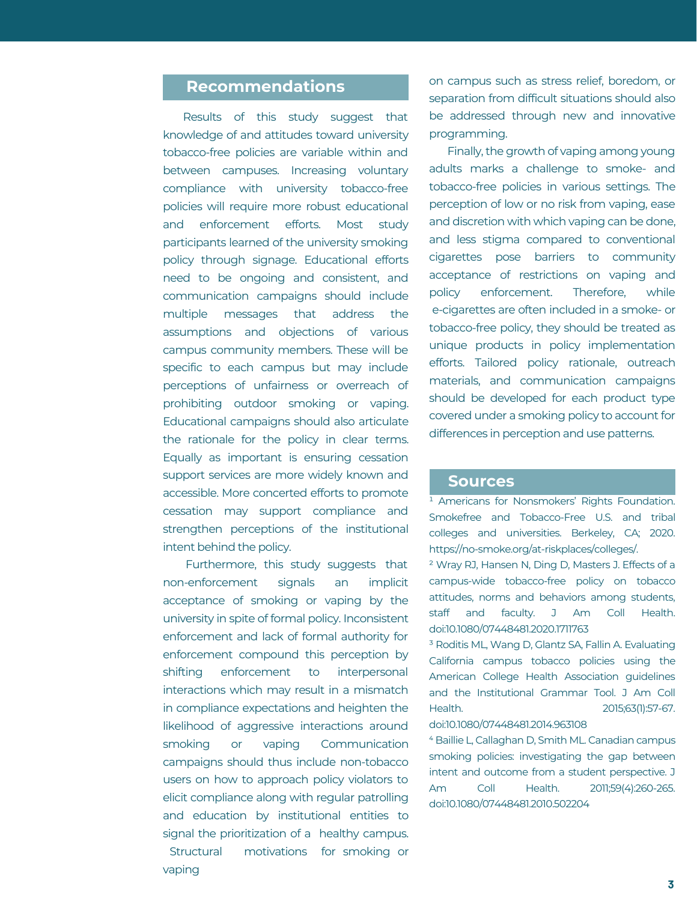### **Recommendations**

Results of this study suggest that knowledge of and attitudes toward university tobacco-free policies are variable within and between campuses. Increasing voluntary compliance with university tobacco-free policies will require more robust educational and enforcement efforts. Most study participants learned of the university smoking policy through signage. Educational efforts need to be ongoing and consistent, and communication campaigns should include multiple messages that address the assumptions and objections of various campus community members. These will be specific to each campus but may include perceptions of unfairness or overreach of prohibiting outdoor smoking or vaping. Educational campaigns should also articulate the rationale for the policy in clear terms. Equally as important is ensuring cessation support services are more widely known and accessible. More concerted efforts to promote cessation may support compliance and strengthen perceptions of the institutional intent behind the policy.

Furthermore, this study suggests that non-enforcement signals an implicit acceptance of smoking or vaping by the university in spite of formal policy. Inconsistent enforcement and lack of formal authority for enforcement compound this perception by shifting enforcement to interpersonal interactions which may result in a mismatch in compliance expectations and heighten the likelihood of aggressive interactions around smoking or vaping Communication campaigns should thus include non-tobacco users on how to approach policy violators to elicit compliance along with regular patrolling and education by institutional entities to signal the prioritization of a healthy campus. Structural motivations for smoking or vaping

on campus such as stress relief, boredom, or separation from difficult situations should also be addressed through new and innovative programming.

Finally, the growth of vaping among young adults marks a challenge to smoke- and tobacco-free policies in various settings. The perception of low or no risk from vaping, ease and discretion with which vaping can be done, and less stigma compared to conventional cigarettes pose barriers to community acceptance of restrictions on vaping and policy enforcement. Therefore, while e-cigarettes are often included in a smoke- or tobacco-free policy, they should be treated as unique products in policy implementation efforts. Tailored policy rationale, outreach materials, and communication campaigns should be developed for each product type covered under a smoking policy to account for differences in perception and use patterns.

#### **Sources**

<sup>1</sup> Americans for Nonsmokers' Rights Foundation. Smokefree and Tobacco-Free U.S. and tribal colleges and universities. Berkeley, CA; 2020. https://no-smoke.org/at-riskplaces/colleges/.

² Wray RJ, Hansen N, Ding D, Masters J. Effects of a campus-wide tobacco-free policy on tobacco attitudes, norms and behaviors among students, staff and faculty. J Am Coll Health. doi:10.1080/07448481.2020.1711763

<sup>3</sup> Roditis ML, Wang D, Glantz SA, Fallin A, Evaluating California campus tobacco policies using the American College Health Association guidelines and the Institutional Grammar Tool. J Am Coll Health. 2015;63(1):57-67. doi:10.1080/07448481.2014.963108

⁴ Baillie L, Callaghan D, Smith ML. Canadian campus smoking policies: investigating the gap between intent and outcome from a student perspective. J Am Coll Health. 2011;59(4):260-265. doi:10.1080/07448481.2010.502204